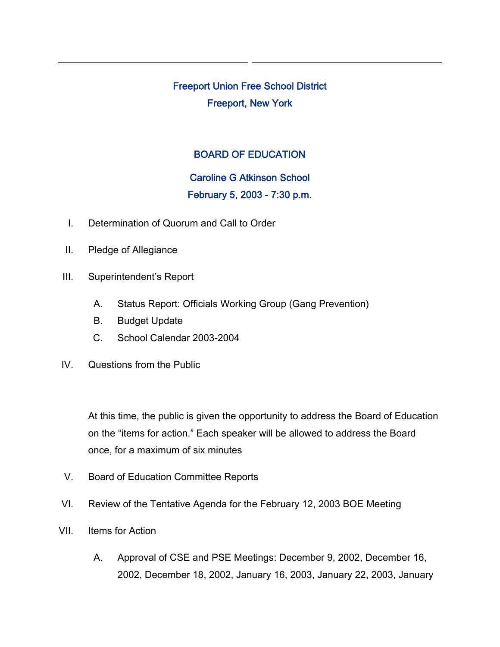Freeport Union Free School District Freeport, New York

## BOARD OF EDUCATION

## Caroline G Atkinson School

## February 5, 2003 - 7:30 p.m.

- I. Determination of Quorum and Call to Order
- II. Pledge of Allegiance
- III. Superintendent's Report
	- A. Status Report: Officials Working Group (Gang Prevention)
	- B. Budget Update
	- C. School Calendar 2003-2004
- IV. Questions from the Public

At this time, the public is given the opportunity to address the Board of Education on the "items for action." Each speaker will be allowed to address the Board once, for a maximum of six minutes

- V. Board of Education Committee Reports
- VI. Review of the Tentative Agenda for the February 12, 2003 BOE Meeting
- VII. Items for Action
	- A. Approval of CSE and PSE Meetings: December 9, 2002, December 16, 2002, December 18, 2002, January 16, 2003, January 22, 2003, January